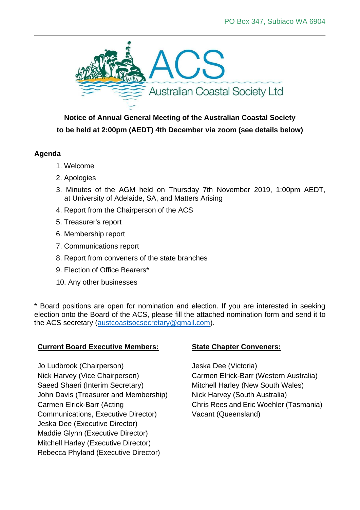

**Notice of Annual General Meeting of the Australian Coastal Society to be held at 2:00pm (AEDT) 4th December via zoom (see details below)**

## **Agenda**

- 1. Welcome
- 2. Apologies
- 3. Minutes of the AGM held on Thursday 7th November 2019, 1:00pm AEDT, at University of Adelaide, SA, and Matters Arising
- 4. Report from the Chairperson of the ACS
- 5. Treasurer's report
- 6. Membership report
- 7. Communications report
- 8. Report from conveners of the state branches
- 9. Election of Office Bearers\*
- 10. Any other businesses

\* Board positions are open for nomination and election. If you are interested in seeking election onto the Board of the ACS, please fill the attached nomination form and send it to the ACS secretary [\(austcoastsocsecretary@gmail.com\)](mailto:austcoastsocsecretary@gmail.com).

## **Current Board Executive Members:**

Jo Ludbrook (Chairperson) Nick Harvey (Vice Chairperson) Saeed Shaeri (Interim Secretary) John Davis (Treasurer and Membership) Carmen Elrick-Barr (Acting Communications, Executive Director) Jeska Dee (Executive Director) Maddie Glynn (Executive Director) Mitchell Harley (Executive Director) Rebecca Phyland (Executive Director)

## **State Chapter Conveners:**

Jeska Dee (Victoria) Carmen Elrick-Barr (Western Australia) Mitchell Harley (New South Wales) Nick Harvey (South Australia) Chris Rees and Eric Woehler (Tasmania) Vacant (Queensland)